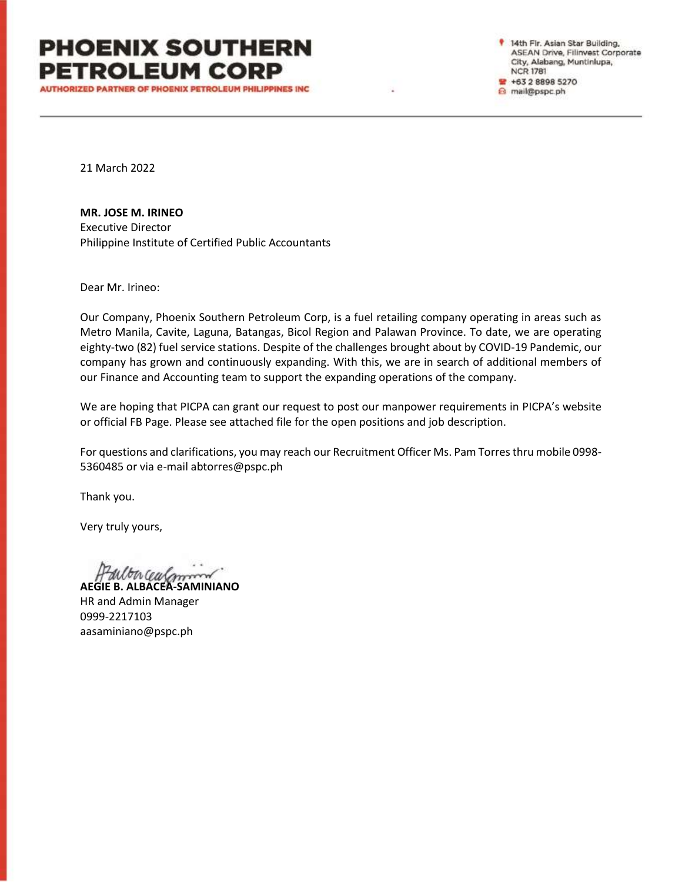**AUTHORIZED PARTNER OF PHOENIX PETROLEUM PHILIPPINES INC.** 

14th Fir. Asian Star Building, ASEAN Drive, Filinvest Corporate City, Alabang, Muntinlupa, **NCR 1781** \* +63 2 8898 5270 a mail@pspc.ph

21 March 2022

**MR. JOSE M. IRINEO**

Executive Director Philippine Institute of Certified Public Accountants

Dear Mr. Irineo:

Our Company, Phoenix Southern Petroleum Corp, is a fuel retailing company operating in areas such as Metro Manila, Cavite, Laguna, Batangas, Bicol Region and Palawan Province. To date, we are operating eighty-two (82) fuel service stations. Despite of the challenges brought about by COVID-19 Pandemic, our company has grown and continuously expanding. With this, we are in search of additional members of our Finance and Accounting team to support the expanding operations of the company.

We are hoping that PICPA can grant our request to post our manpower requirements in PICPA's website or official FB Page. Please see attached file for the open positions and job description.

For questions and clarifications, you may reach our Recruitment Officer Ms. Pam Torres thru mobile 0998- 5360485 or via e-mail abtorres@pspc.ph

Thank you.

Very truly yours,

**AEGIE B. ALBACEA-SAMINIANO**

HR and Admin Manager 0999-2217103 aasaminiano@pspc.ph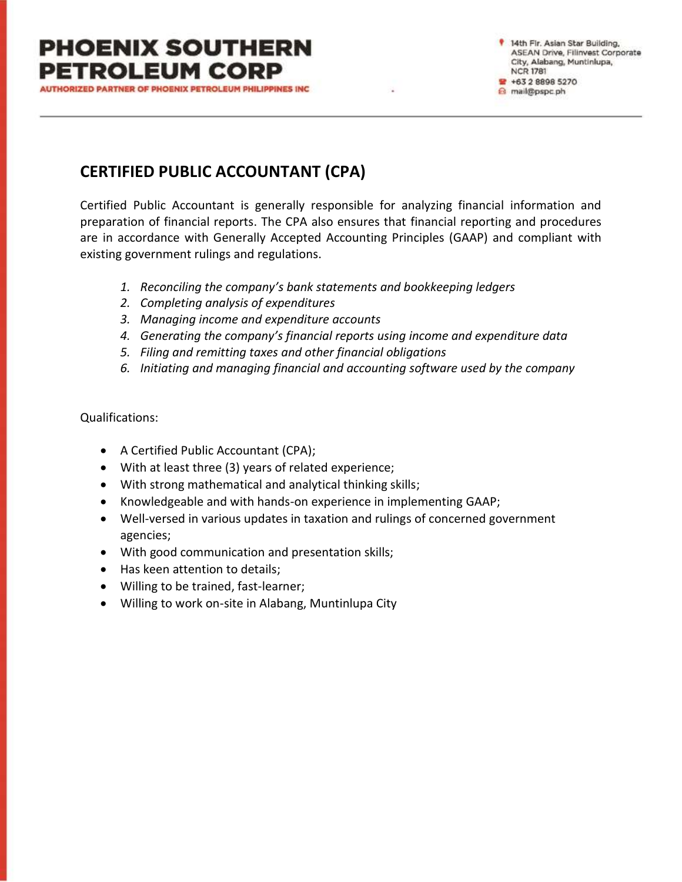**AUTHORIZED PARTNER OF PHOENIX PETROLEUM PHILIPPINES INC.** 

14th Fir. Asian Star Building, ASEAN Drive, Filinvest Corporate City, Alabang, Muntinlupa, **NCR 1781** \* +63 2 8898 5270 a mail@pspc.ph

### **CERTIFIED PUBLIC ACCOUNTANT (CPA)**

Certified Public Accountant is generally responsible for analyzing financial information and preparation of financial reports. The CPA also ensures that financial reporting and procedures are in accordance with Generally Accepted Accounting Principles (GAAP) and compliant with existing government rulings and regulations.

- *1. Reconciling the company's bank statements and bookkeeping ledgers*
- *2. Completing analysis of expenditures*
- *3. Managing income and expenditure accounts*
- *4. Generating the company's financial reports using income and expenditure data*
- *5. Filing and remitting taxes and other financial obligations*
- *6. Initiating and managing financial and accounting software used by the company*

Qualifications:

- A Certified Public Accountant (CPA);
- With at least three (3) years of related experience;
- With strong mathematical and analytical thinking skills;
- Knowledgeable and with hands-on experience in implementing GAAP;
- Well-versed in various updates in taxation and rulings of concerned government agencies;
- With good communication and presentation skills;
- Has keen attention to details;
- Willing to be trained, fast-learner;
- Willing to work on-site in Alabang, Muntinlupa City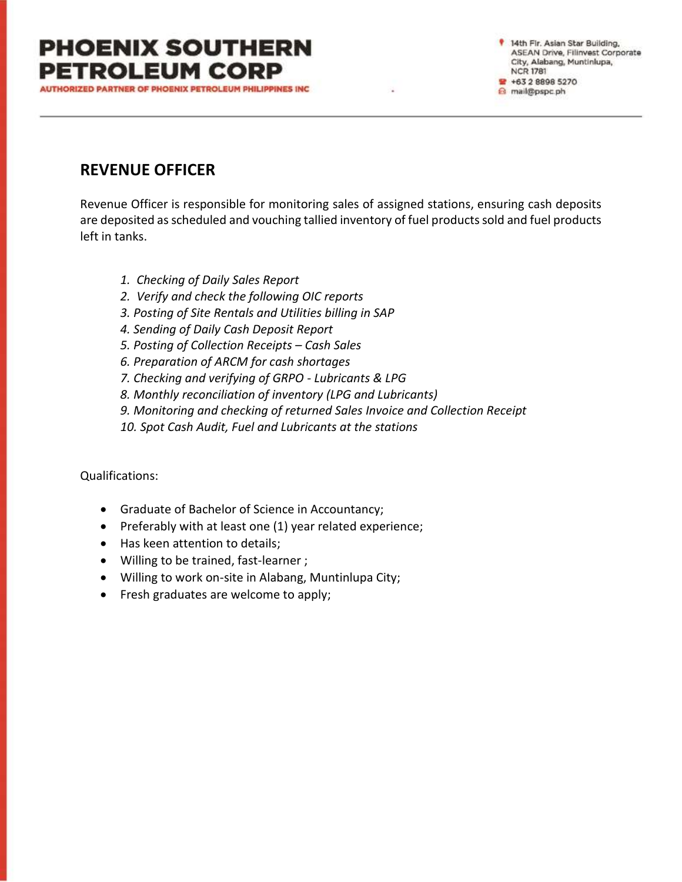**AUTHORIZED PARTNER OF PHOENIX PETROLEUM PHILIPPINES INC** 

14th Fir. Asian Star Building, ASEAN Drive, Filinvest Corporate City, Alabang, Muntinlupa, **NCR 1781** ₩ +63 2 8898 5270 a mail@pspc.ph

### **REVENUE OFFICER**

Revenue Officer is responsible for monitoring sales of assigned stations, ensuring cash deposits are deposited as scheduled and vouching tallied inventory of fuel products sold and fuel products left in tanks.

- *1. Checking of Daily Sales Report*
- *2. Verify and check the following OIC reports*
- *3. Posting of Site Rentals and Utilities billing in SAP*
- *4. Sending of Daily Cash Deposit Report*
- *5. Posting of Collection Receipts – Cash Sales*
- *6. Preparation of ARCM for cash shortages*
- *7. Checking and verifying of GRPO - Lubricants & LPG*
- *8. Monthly reconciliation of inventory (LPG and Lubricants)*
- *9. Monitoring and checking of returned Sales Invoice and Collection Receipt*
- *10. Spot Cash Audit, Fuel and Lubricants at the stations*

#### Qualifications:

- Graduate of Bachelor of Science in Accountancy;
- Preferably with at least one (1) year related experience;
- Has keen attention to details;
- Willing to be trained, fast-learner ;
- Willing to work on-site in Alabang, Muntinlupa City;
- Fresh graduates are welcome to apply;